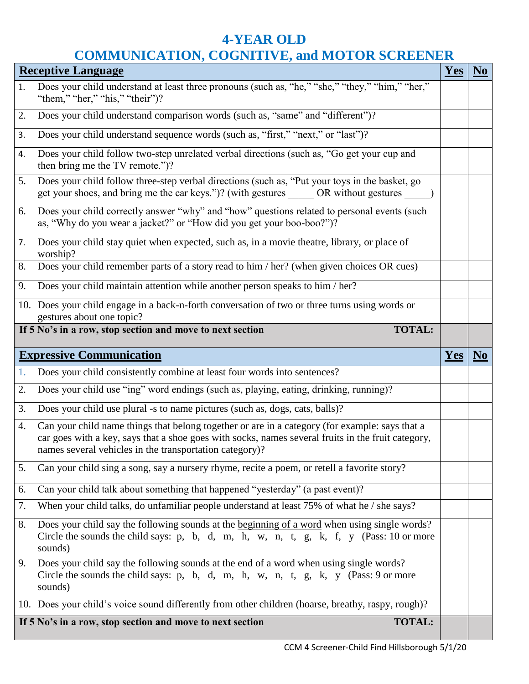## **4-YEAR OLD COMMUNICATION, COGNITIVE, and MOTOR SCREENER**

| <b>Receptive Language</b> |                                                                                                                                                                                                                                                                 |     |                |  |
|---------------------------|-----------------------------------------------------------------------------------------------------------------------------------------------------------------------------------------------------------------------------------------------------------------|-----|----------------|--|
| 1.                        | Does your child understand at least three pronouns (such as, "he," "she," "they," "him," "her,"<br>"them," "her," "his," "their")?                                                                                                                              |     |                |  |
| 2.                        | Does your child understand comparison words (such as, "same" and "different")?                                                                                                                                                                                  |     |                |  |
| 3.                        | Does your child understand sequence words (such as, "first," "next," or "last")?                                                                                                                                                                                |     |                |  |
| 4.                        | Does your child follow two-step unrelated verbal directions (such as, "Go get your cup and<br>then bring me the TV remote.")?                                                                                                                                   |     |                |  |
| 5.                        | Does your child follow three-step verbal directions (such as, "Put your toys in the basket, go<br>get your shoes, and bring me the car keys.")? (with gestures ______ OR without gestures ______                                                                |     |                |  |
| 6.                        | Does your child correctly answer "why" and "how" questions related to personal events (such<br>as, "Why do you wear a jacket?" or "How did you get your boo-boo?")?                                                                                             |     |                |  |
| 7.                        | Does your child stay quiet when expected, such as, in a movie theatre, library, or place of<br>worship?                                                                                                                                                         |     |                |  |
| 8.                        | Does your child remember parts of a story read to him / her? (when given choices OR cues)                                                                                                                                                                       |     |                |  |
| 9.                        | Does your child maintain attention while another person speaks to him / her?                                                                                                                                                                                    |     |                |  |
|                           | 10. Does your child engage in a back-n-forth conversation of two or three turns using words or<br>gestures about one topic?                                                                                                                                     |     |                |  |
|                           | If 5 No's in a row, stop section and move to next section<br><b>TOTAL:</b>                                                                                                                                                                                      |     |                |  |
|                           |                                                                                                                                                                                                                                                                 |     |                |  |
|                           | <b>Expressive Communication</b>                                                                                                                                                                                                                                 | Yes | N <sub>0</sub> |  |
| 1.                        | Does your child consistently combine at least four words into sentences?                                                                                                                                                                                        |     |                |  |
| 2.                        | Does your child use "ing" word endings (such as, playing, eating, drinking, running)?                                                                                                                                                                           |     |                |  |
| 3.                        | Does your child use plural -s to name pictures (such as, dogs, cats, balls)?                                                                                                                                                                                    |     |                |  |
| 4.                        | Can your child name things that belong together or are in a category (for example: says that a<br>car goes with a key, says that a shoe goes with socks, names several fruits in the fruit category,<br>names several vehicles in the transportation category)? |     |                |  |
| 5.                        | Can your child sing a song, say a nursery rhyme, recite a poem, or retell a favorite story?                                                                                                                                                                     |     |                |  |
| 6.                        | Can your child talk about something that happened "yesterday" (a past event)?                                                                                                                                                                                   |     |                |  |
| 7.                        | When your child talks, do unfamiliar people understand at least 75% of what he / she says?                                                                                                                                                                      |     |                |  |
| 8.                        | Does your child say the following sounds at the beginning of a word when using single words?<br>Circle the sounds the child says: p, b, d, m, h, w, n, t, g, k, f, y (Pass: 10 or more<br>sounds)                                                               |     |                |  |
| 9.                        | Does your child say the following sounds at the end of a word when using single words?<br>Circle the sounds the child says: p, b, d, m, h, w, n, t, g, k, y (Pass: 9 or more<br>sounds)                                                                         |     |                |  |
|                           | 10. Does your child's voice sound differently from other children (hoarse, breathy, raspy, rough)?<br>If 5 No's in a row, stop section and move to next section                                                                                                 |     |                |  |